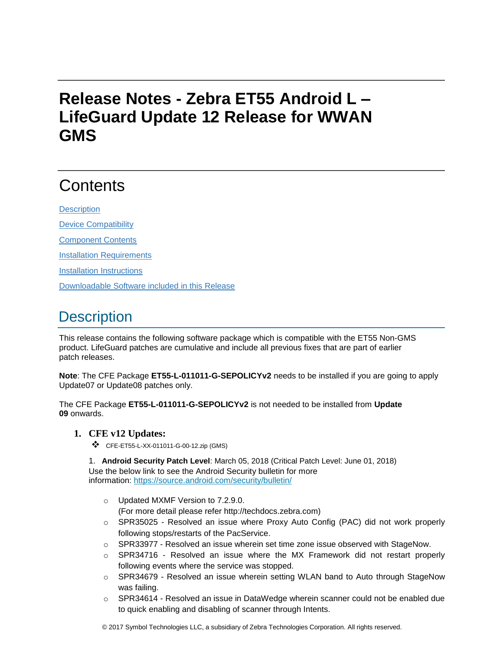# **Release Notes - Zebra ET55 Android L – LifeGuard Update 12 Release for WWAN GMS**

# **Contents**

**[Description](#page-0-0)** 

[Device Compatibility](#page-5-0)

[Component Contents](#page-5-1)

[Installation Requirements](#page-5-2)

[Installation Instructions](#page-5-3)

[Downloadable Software included in this Release](#page-6-0)

## <span id="page-0-0"></span>**Description**

This release contains the following software package which is compatible with the ET55 Non-GMS product. LifeGuard patches are cumulative and include all previous fixes that are part of earlier patch releases.

**Note**: The CFE Package **ET55-L-011011-G-SEPOLICYv2** needs to be installed if you are going to apply Update07 or Update08 patches only.

The CFE Package **ET55-L-011011-G-SEPOLICYv2** is not needed to be installed from **Update 09** onwards.

### **1. CFE v12 Updates:**

❖ CFE-ET55-L-XX-011011-G-00-12.zip (GMS)

1. **Android Security Patch Level**: March 05, 2018 (Critical Patch Level: June 01, 2018) Use the below link to see the Android Security bulletin for more information:<https://source.android.com/security/bulletin/>

- o Updated MXMF Version to 7.2.9.0. (For more detail please refer http://techdocs.zebra.com)
- $\circ$  SPR35025 Resolved an issue where Proxy Auto Config (PAC) did not work properly following stops/restarts of the PacService.
- $\circ$  SPR33977 Resolved an issue wherein set time zone issue observed with StageNow.
- $\circ$  SPR34716 Resolved an issue where the MX Framework did not restart properly following events where the service was stopped.
- $\circ$  SPR34679 Resolved an issue wherein setting WLAN band to Auto through StageNow was failing.
- $\circ$  SPR34614 Resolved an issue in DataWedge wherein scanner could not be enabled due to quick enabling and disabling of scanner through Intents.

© 2017 Symbol Technologies LLC, a subsidiary of Zebra Technologies Corporation. All rights reserved.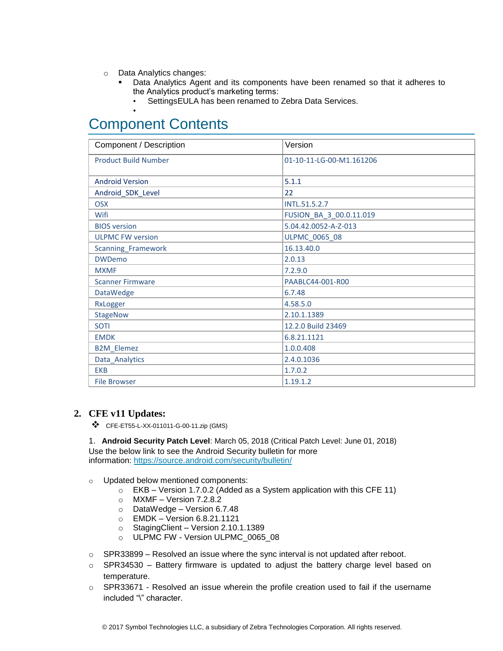- o Data Analytics changes:
	- Data Analytics Agent and its components have been renamed so that it adheres to the Analytics product's marketing terms:
		- SettingsEULA has been renamed to Zebra Data Services.

## Component Contents

•

| Component / Description     | Version                  |
|-----------------------------|--------------------------|
| <b>Product Build Number</b> | 01-10-11-LG-00-M1.161206 |
|                             |                          |
| <b>Android Version</b>      | 5.1.1                    |
| Android_SDK_Level           | 22                       |
| <b>OSX</b>                  | INTL.51.5.2.7            |
| Wifi                        | FUSION_BA_3_00.0.11.019  |
| <b>BIOS</b> version         | 5.04.42.0052-A-Z-013     |
| <b>ULPMC FW version</b>     | ULPMC_0065_08            |
| Scanning_Framework          | 16.13.40.0               |
| <b>DWDemo</b>               | 2.0.13                   |
| <b>MXMF</b>                 | 7.2.9.0                  |
| <b>Scanner Firmware</b>     | PAABLC44-001-R00         |
| <b>DataWedge</b>            | 6.7.48                   |
| RxLogger                    | 4.58.5.0                 |
| <b>StageNow</b>             | 2.10.1.1389              |
| <b>SOTI</b>                 | 12.2.0 Build 23469       |
| <b>EMDK</b>                 | 6.8.21.1121              |
| <b>B2M_Elemez</b>           | 1.0.0.408                |
| Data_Analytics              | 2.4.0.1036               |
| <b>EKB</b>                  | 1.7.0.2                  |
| <b>File Browser</b>         | 1.19.1.2                 |

### **2. CFE v11 Updates:**

❖ CFE-ET55-L-XX-011011-G-00-11.zip (GMS)

1. **Android Security Patch Level**: March 05, 2018 (Critical Patch Level: June 01, 2018) Use the below link to see the Android Security bulletin for more information:<https://source.android.com/security/bulletin/>

- o Updated below mentioned components:
	- $\circ$  EKB Version 1.7.0.2 (Added as a System application with this CFE 11)
	- o MXMF Version 7.2.8.2
	- o DataWedge Version 6.7.48
	- o EMDK Version 6.8.21.1121
	- o StagingClient Version 2.10.1.1389
	- o ULPMC FW Version ULPMC\_0065\_08
- $\circ$  SPR33899 Resolved an issue where the sync interval is not updated after reboot.
- o SPR34530 Battery firmware is updated to adjust the battery charge level based on temperature.
- o SPR33671 Resolved an issue wherein the profile creation used to fail if the username included "\" character.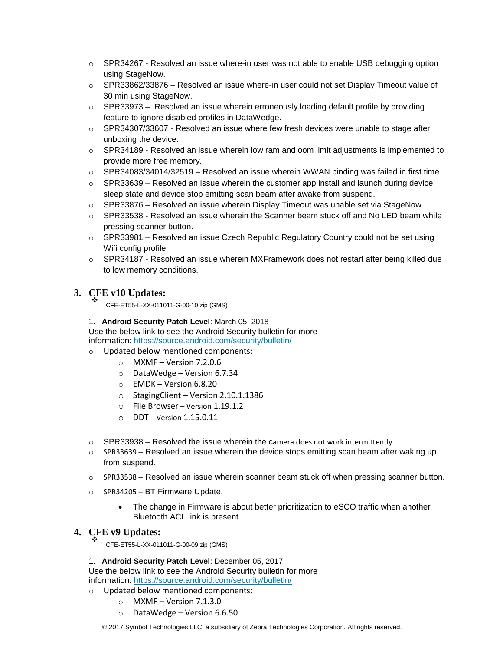- $\circ$  SPR34267 Resolved an issue where-in user was not able to enable USB debugging option using StageNow.
- o SPR33862/33876 Resolved an issue where-in user could not set Display Timeout value of 30 min using StageNow.
- o SPR33973 Resolved an issue wherein erroneously loading default profile by providing feature to ignore disabled profiles in DataWedge.
- $\circ$  SPR34307/33607 Resolved an issue where few fresh devices were unable to stage after unboxing the device.
- $\circ$  SPR34189 Resolved an issue wherein low ram and oom limit adjustments is implemented to provide more free memory.
- o SPR34083/34014/32519 Resolved an issue wherein WWAN binding was failed in first time.
- $\circ$  SPR33639 Resolved an issue wherein the customer app install and launch during device sleep state and device stop emitting scan beam after awake from suspend.
- $\circ$  SPR33876 Resolved an issue wherein Display Timeout was unable set via StageNow.
- $\circ$  SPR33538 Resolved an issue wherein the Scanner beam stuck off and No LED beam while pressing scanner button.
- $\circ$  SPR33981 Resolved an issue Czech Republic Regulatory Country could not be set using Wifi config profile.
- $\circ$  SPR34187 Resolved an issue wherein MXFramework does not restart after being killed due to low memory conditions.

### **3. CFE v10 Updates:** ❖

CFE-ET55-L-XX-011011-G-00-10.zip (GMS)

1. **Android Security Patch Level**: March 05, 2018 Use the below link to see the Android Security bulletin for more information:<https://source.android.com/security/bulletin/>

o Updated below mentioned components:

- $\circ$  MXMF Version 7.2.0.6
	- $\circ$  DataWedge Version 6.7.34
	- o EMDK Version 6.8.20
	- o StagingClient Version 2.10.1.1386
	- o File Browser Version 1.19.1.2
	- $O$  DDT Version 1.15.0.11
- $\circ$  SPR33938 Resolved the issue wherein the camera does not work intermittently.
- $\circ$  SPR33639 Resolved an issue wherein the device stops emitting scan beam after waking up from suspend.
- $\circ$  SPR33538 Resolved an issue wherein scanner beam stuck off when pressing scanner button.
- o SPR34205 BT Firmware Update.
	- The change in Firmware is about better prioritization to eSCO traffic when another Bluetooth ACL link is present.

#### **4. CFE v9 Updates:** ❖

CFE-ET55-L-XX-011011-G-00-09.zip (GMS)

1. **Android Security Patch Level**: December 05, 2017

Use the below link to see the Android Security bulletin for more information:<https://source.android.com/security/bulletin/>

- o Updated below mentioned components:
	- $\circ$  MXMF Version 7.1.3.0
	- o DataWedge Version 6.6.50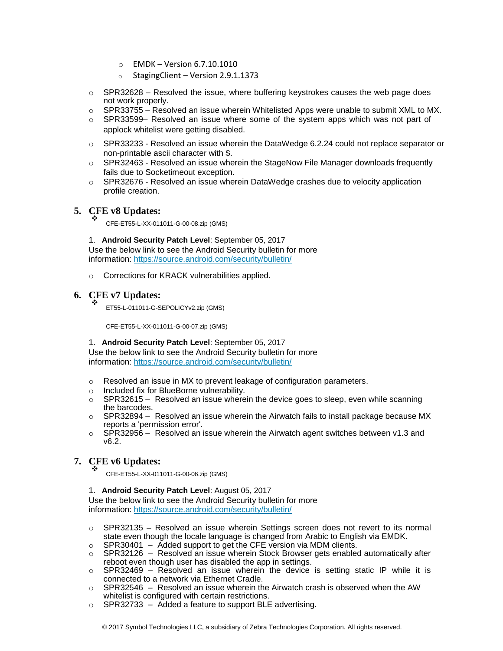- o EMDK Version 6.7.10.1010
- $\circ$  Staging Client Version 2.9.1.1373
- $\circ$  SPR32628 Resolved the issue, where buffering keystrokes causes the web page does not work properly.
- $\circ$  SPR33755 Resolved an issue wherein Whitelisted Apps were unable to submit XML to MX.
- $\circ$  SPR33599– Resolved an issue where some of the system apps which was not part of applock whitelist were getting disabled.
- o SPR33233 Resolved an issue wherein the DataWedge 6.2.24 could not replace separator or non-printable ascii character with \$.
- $\circ$  SPR32463 Resolved an issue wherein the StageNow File Manager downloads frequently fails due to Socketimeout exception.
- $\circ$  SPR32676 Resolved an issue wherein DataWedge crashes due to velocity application profile creation.

## **5. CFE v8 Updates:** ❖

CFE-ET55-L-XX-011011-G-00-08.zip (GMS)

1. **Android Security Patch Level**: September 05, 2017 Use the below link to see the Android Security bulletin for more information:<https://source.android.com/security/bulletin/>

o Corrections for KRACK vulnerabilities applied.

#### **6. CFE v7 Updates:** ❖

ET55-L-011011-G-SEPOLICYv2.zip (GMS)

CFE-ET55-L-XX-011011-G-00-07.zip (GMS)

### 1. **Android Security Patch Level**: September 05, 2017

Use the below link to see the Android Security bulletin for more information:<https://source.android.com/security/bulletin/>

- o Resolved an issue in MX to prevent leakage of configuration parameters.
- o Included fix for BlueBorne vulnerability.
- $\circ$  SPR32615 Resolved an issue wherein the device goes to sleep, even while scanning the barcodes.
- $\circ$  SPR32894 Resolved an issue wherein the Airwatch fails to install package because MX reports a 'permission error'.
- $\circ$  SPR32956 Resolved an issue wherein the Airwatch agent switches between v1.3 and v6.2.

#### **7. CFE v6 Updates:** ❖

CFE-ET55-L-XX-011011-G-00-06.zip (GMS)

### 1. **Android Security Patch Level**: August 05, 2017

Use the below link to see the Android Security bulletin for more information:<https://source.android.com/security/bulletin/>

- o SPR32135 Resolved an issue wherein Settings screen does not revert to its normal state even though the locale language is changed from Arabic to English via EMDK.
- $\circ$  SPR30401 Added support to get the CFE version via MDM clients.
- $\circ$  SPR32126 Resolved an issue wherein Stock Browser gets enabled automatically after reboot even though user has disabled the app in settings.
- o SPR32469 Resolved an issue wherein the device is setting static IP while it is connected to a network via Ethernet Cradle.
- $\circ$  SPR32546 Resolved an issue wherein the Airwatch crash is observed when the AW whitelist is configured with certain restrictions.
- o SPR32733 Added a feature to support BLE advertising.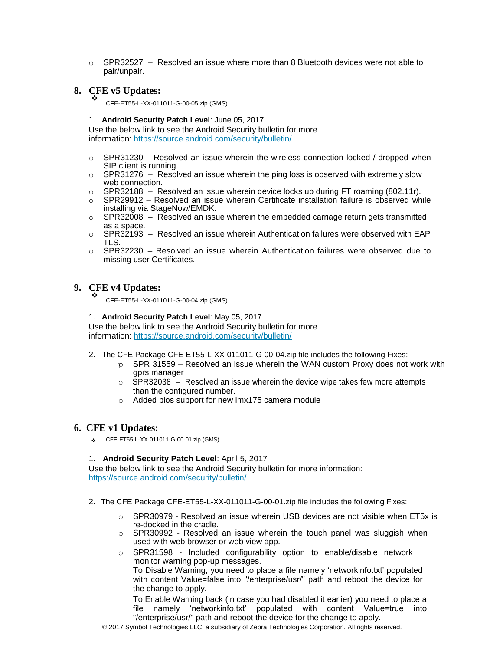$\circ$  SPR32527 – Resolved an issue where more than 8 Bluetooth devices were not able to pair/unpair.

#### **8. CFE v5 Updates:** ❖

CFE-ET55-L-XX-011011-G-00-05.zip (GMS)

1. **Android Security Patch Level**: June 05, 2017

Use the below link to see the Android Security bulletin for more information:<https://source.android.com/security/bulletin/>

- $\circ$  SPR31230 Resolved an issue wherein the wireless connection locked / dropped when SIP client is running.
- $\circ$  SPR31276 Resolved an issue wherein the ping loss is observed with extremely slow web connection.
- $\circ$  SPR32188 Resolved an issue wherein device locks up during FT roaming (802.11r).
- $\circ$  SPR29912 Resolved an issue wherein Certificate installation failure is observed while installing via StageNow/EMDK.
- $\circ$  SPR32008 Resolved an issue wherein the embedded carriage return gets transmitted as a space.
- $\circ$  SPR32193 Resolved an issue wherein Authentication failures were observed with EAP TLS.
- $\circ$  SPR32230 Resolved an issue wherein Authentication failures were observed due to missing user Certificates.

#### **9. CFE v4 Updates:** ❖

CFE-ET55-L-XX-011011-G-00-04.zip (GMS)

1. **Android Security Patch Level**: May 05, 2017

Use the below link to see the Android Security bulletin for more information:<https://source.android.com/security/bulletin/>

- 2. The CFE Package CFE-ET55-L-XX-011011-G-00-04.zip file includes the following Fixes:
	- $p$  SPR 31559 Resolved an issue wherein the WAN custom Proxy does not work with gprs manager
	- $\circ$  SPR32038 Resolved an issue wherein the device wipe takes few more attempts than the configured number.
	- o Added bios support for new imx175 camera module

### **6. CFE v1 Updates:**

❖ CFE-ET55-L-XX-011011-G-00-01.zip (GMS)

### 1. **Android Security Patch Level**: April 5, 2017

Use the below link to see the Android Security bulletin for more information: <https://source.android.com/security/bulletin/>

- 2. The CFE Package CFE-ET55-L-XX-011011-G-00-01.zip file includes the following Fixes:
	- $\circ$  SPR30979 Resolved an issue wherein USB devices are not visible when ET5x is re-docked in the cradle.
	- o SPR30992 Resolved an issue wherein the touch panel was sluggish when used with web browser or web view app.
	- o SPR31598 Included configurability option to enable/disable network monitor warning pop-up messages. To Disable Warning, you need to place a file namely 'networkinfo.txt' populated with content Value=false into "/enterprise/usr/" path and reboot the device for the change to apply.

To Enable Warning back (in case you had disabled it earlier) you need to place a file namely 'networkinfo.txt' populated with content Value=true into "/enterprise/usr/" path and reboot the device for the change to apply.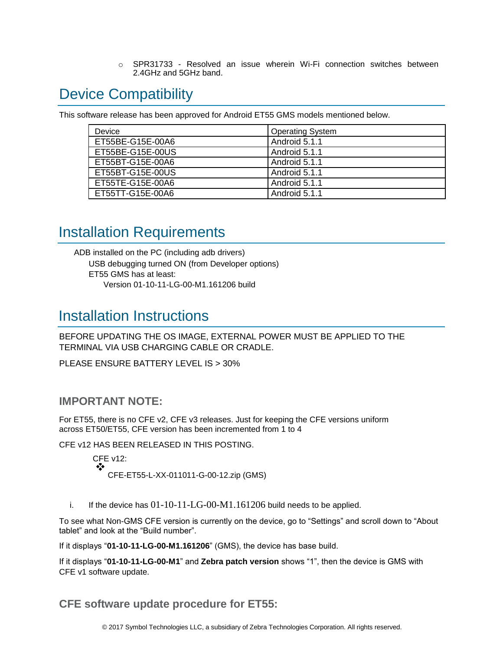o SPR31733 - Resolved an issue wherein Wi-Fi connection switches between 2.4GHz and 5GHz band.

## <span id="page-5-0"></span>Device Compatibility

This software release has been approved for Android ET55 GMS models mentioned below.

| Device           | <b>Operating System</b> |
|------------------|-------------------------|
| ET55BE-G15E-00A6 | Android 5.1.1           |
| ET55BE-G15E-00US | Android 5.1.1           |
| ET55BT-G15E-00A6 | Android 5.1.1           |
| ET55BT-G15E-00US | Android 5.1.1           |
| ET55TE-G15E-00A6 | Android 5.1.1           |
| ET55TT-G15E-00A6 | Android 5.1.1           |

## <span id="page-5-2"></span><span id="page-5-1"></span>Installation Requirements

ADB installed on the PC (including adb drivers) USB debugging turned ON (from Developer options) ET55 GMS has at least: Version 01-10-11-LG-00-M1.161206 build

## <span id="page-5-3"></span>Installation Instructions

BEFORE UPDATING THE OS IMAGE, EXTERNAL POWER MUST BE APPLIED TO THE TERMINAL VIA USB CHARGING CABLE OR CRADLE.

PLEASE ENSURE BATTERY LEVEL IS > 30%

### **IMPORTANT NOTE:**

For ET55, there is no CFE v2, CFE v3 releases. Just for keeping the CFE versions uniform across ET50/ET55, CFE version has been incremented from 1 to 4

CFE v12 HAS BEEN RELEASED IN THIS POSTING.

CFE v12: ❖ CFE-ET55-L-XX-011011-G-00-12.zip (GMS)

i. If the device has  $01-10-11-LG-00-M1.161206$  build needs to be applied.

To see what Non-GMS CFE version is currently on the device, go to "Settings" and scroll down to "About tablet" and look at the "Build number".

If it displays "**01-10-11-LG-00-M1.161206**" (GMS), the device has base build.

If it displays "**01-10-11-LG-00-M1**" and **Zebra patch version** shows "1", then the device is GMS with CFE v1 software update.

**CFE software update procedure for ET55:**